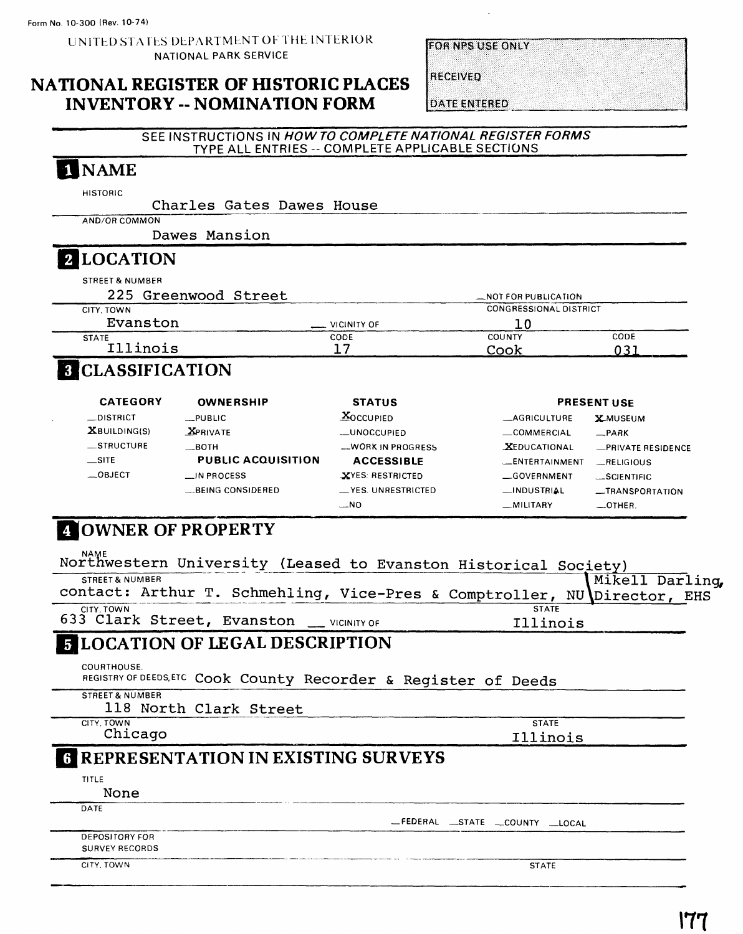**UNITED STATES DEPARTMENT OF THE INTERIOR NATIONAL PARK SERVICE**

#### **NATIONAL REGISTER OF HISTORIC PLACES INVENTORY -- NOMINATION FORM**

**FOR NPS USE ONLY** 

**DATE ENTERED** 

RECEIVED

#### **SEE INSTRUCTIONS IN HOW TO COMPLETE NATIONAL REGISTER FORMS TYPE ALL ENTRIES -- COMPLETE APPLICABLE SECTIONS**

# 1 NAME

**HISTORIC**

Charles Gates Dawes House **AND/OR COMMON** Dawes Mansion **LOCATION STREET & NUMBER 225 Greenwood Street LAOT FOR PUBLICATION** CITY. TOWN Evanston \_ **STATE** Illinois VICINITY OF **CODE** 17 CONGRESSIONAL DISTRICT 10 COUNTY CODE Cook 031

### **Q** CLASSIFICATION

| <b>CATEGORY</b>    | OWNERSHIP                 | <b>STATUS</b>             |                       | <b>PRESENT USE</b> |
|--------------------|---------------------------|---------------------------|-----------------------|--------------------|
| $\equiv$ DISTRICT  | <b>PUBLIC</b>             | $X$ OCCUPIED              | <b>LAGRICULTURE</b>   | <b>X</b> MUSEUM    |
| $X$ BUILDING(S)    | <b>X</b> PRIVATE          | -UNOCCUPIED               | COMMERCIAL            | $-$ PARK           |
| $\equiv$ STRUCTURE | $\_$ BOTH                 | <b>__WORK IN PROGRESS</b> | <b>XEDUCATIONAL</b>   | -PRIVATE RESIDENCE |
| $\equiv$ SITE      | <b>PUBLIC ACQUISITION</b> | <b>ACCESSIBLE</b>         | <b>LENTERTAINMENT</b> | _RELIGIOUS         |
| $\equiv$ OBJECT    | $\Box$ IN PROCESS         | XYES: RESTRICTED          | GOVERNMENT            | $-SCIENTIFIC$      |
|                    | BEING CONSIDERED          | __ YES. UNRESTRICTED      | _INDUSTRIAL           | -TRANSPORTATION    |
|                    |                           | $-NO$                     | _MILITARY             | $-$ OTHER.         |

# **ZOWNER OF PROPERTY**

| <b>NAME</b><br>Northwestern University (Leased to Evanston Historical Society) |                                |
|--------------------------------------------------------------------------------|--------------------------------|
| <b>STREET &amp; NUMBER</b>                                                     | Mikell Darling                 |
| contact: Arthur T. Schmehling, Vice-Pres & Comptroller, NU Director, EHS       |                                |
| CITY, TOWN<br>633 Clark Street, Evanston __ VICINITY OF                        | <b>STATE</b><br>Illinois       |
| <b>5 LOCATION OF LEGAL DESCRIPTION</b>                                         |                                |
| COURTHOUSE.<br>REGISTRY OF DEEDS, ETC Cook County Recorder & Register of Deeds |                                |
| <b>STREET &amp; NUMBER</b><br>118 North Clark Street                           |                                |
| CITY. TOWN                                                                     | <b>STATE</b>                   |
| Chicago                                                                        | Illinois                       |
| REPRESENTATION IN EXISTING SURVEYS                                             |                                |
| <b>TITLE</b>                                                                   |                                |
| None                                                                           |                                |
| DATE                                                                           |                                |
|                                                                                | _FEDERAL _STATE _COUNTY _LOCAL |
| <b>DEPOSITORY FOR</b>                                                          |                                |
| <b>SURVEY RECORDS</b>                                                          |                                |
| CITY, TOWN                                                                     | <b>STATE</b>                   |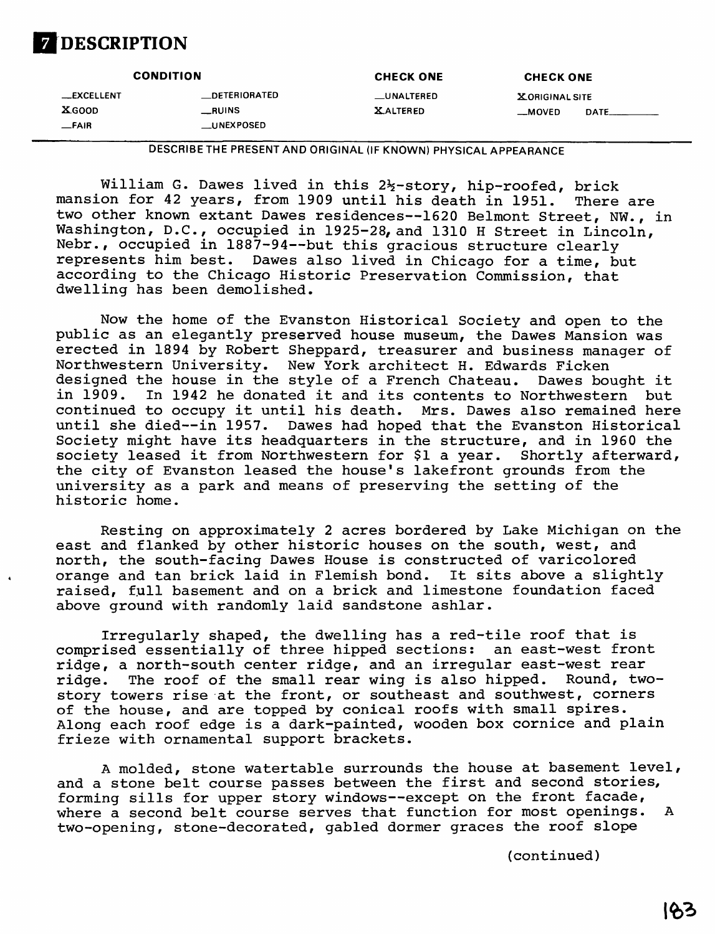

|                                                    | <b>CONDITION</b>                                          | <b>CHECK ONE</b>                     | <b>CHECK ONE</b>                            |  |
|----------------------------------------------------|-----------------------------------------------------------|--------------------------------------|---------------------------------------------|--|
| __EXCELLENT<br><b>XGOOD</b><br>$-FA$ <sub>IR</sub> | <b>_DETERIORATED</b><br>$_{-}$ RUINS<br><b>LUNEXPOSED</b> | <b>LUNALTERED</b><br><b>XALTERED</b> | <b>X ORIGINAL SITE</b><br>$-MOVED$<br>DATE_ |  |

**DESCRIBE THE PRESENT AND ORIGINAL (IF KNOWN) PHYSICAL APPEARANCE**

William G. Dawes lived in this  $2\frac{1}{2}$ -story, hip-roofed, brick mansion for 42 years, from 1909 until his death in 1951. There are two other known extant Dawes residences -- 1620 Belmont Street, NW., in Washington, D.C., occupied in 1925-28, and 1310 H Street in Lincoln, Nebr., occupied in 1887-94--but this gracious structure clearly represents him best. Dawes also lived in Chicago for a time, but according to the Chicago Historic Preservation Commission, that dwelling has been demolished.

Now the home of the Evanston Historical Society and open to the public as an elegantly preserved house museum, the Dawes Mansion was erected in 1894 by Robert Sheppard, treasurer and business manager of Northwestern University. New York architect H. Edwards Ficken designed the house in the style of a French Chateau. Dawes bought it in 1909. In 1942 he donated it and its contents to Northwestern but continued to occupy it until his death. Mrs. Dawes also remained here until she died--in 1957. Dawes had hoped that the Evanston Historical Society might have its headquarters in the structure, and in 1960 the society leased it from Northwestern for \$1 a year. Shortly afterward, the city of Evanston leased the house's lakefront grounds from the university as a park and means of preserving the setting of the historic home.

Resting on approximately 2 acres bordered by Lake Michigan on the east and flanked by other historic houses on the south, west, and north, the south-facing Dawes House is constructed of varicolored orange and tan brick laid in Flemish bond. It sits above a slightly raised, full basement and on a brick and limestone foundation faced above ground with randomly laid sandstone ashlar.

Irregularly shaped, the dwelling has a red-tile roof that is comprised essentially of three hipped sections: an east-west front ridge, a north-south center ridge, and an irregular east-west rear<br>ridge. The roof of the small rear wing is also hipped. Round, tworidge. The roof of the small rear wing is also hipped. story towers rise at the front, or southeast and southwest, corners of the house, and are topped by conical roofs with small spires. Along each roof edge is a dark-painted, wooden box cornice and plain frieze with ornamental support brackets.

A molded, stone watertable surrounds the house at basement level, and a stone belt course passes between the first and second stories, forming sills for upper story windows--except on the front facade, where a second belt course serves that function for most openings. A two-opening, stone-decorated, gabled dormer graces the roof slope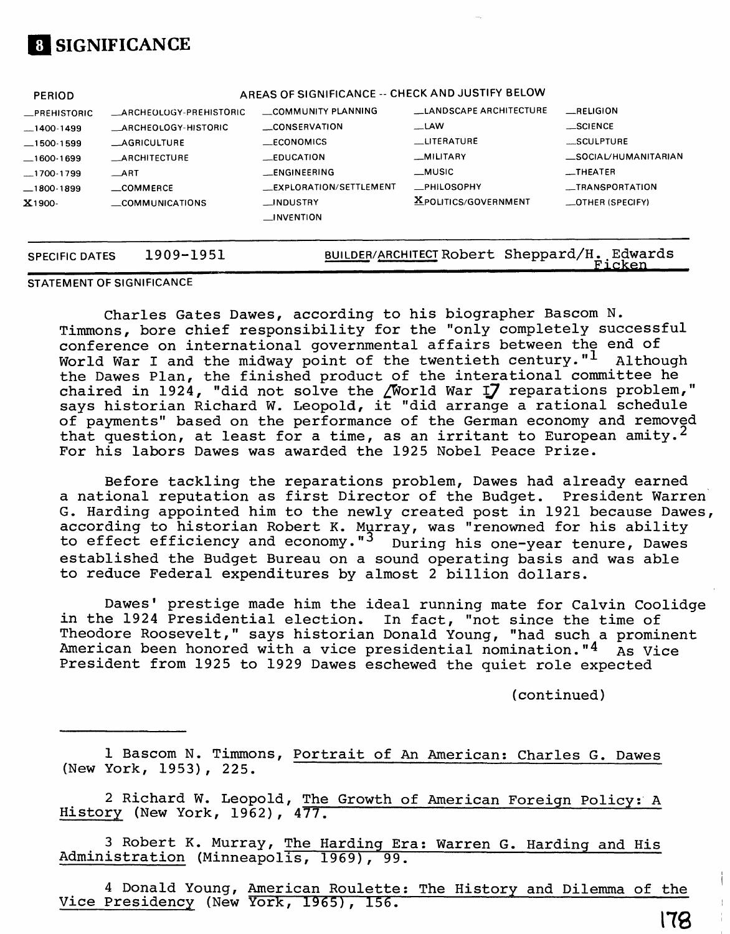

| <b>PERIOD</b>                                                                            |                                                                                                                                                                  | AREAS OF SIGNIFICANCE -- CHECK AND JUSTIFY BELOW                                                                       |                                                                                                               |                                                                                                  |
|------------------------------------------------------------------------------------------|------------------------------------------------------------------------------------------------------------------------------------------------------------------|------------------------------------------------------------------------------------------------------------------------|---------------------------------------------------------------------------------------------------------------|--------------------------------------------------------------------------------------------------|
| _PREHISTORIC<br>$-1400-1499$<br>$-1500-1599$<br>_1600-1699<br>$-1700-1799$<br>—1800-1899 | <b>LARCHEOLOGY-PREHISTORIC</b><br><b>ARCHEOLOGY-HISTORIC</b><br><b>LAGRICULTURE</b><br><b>LARCHITECTURE</b><br>$\overline{\phantom{0}}$ ART<br>$\equiv$ COMMERCE | COMMUNITY PLANNING<br>__CONSERVATION<br>$\_ECONOMICS$<br>$-$ EDUCATION<br><b>ENGINEERING</b><br>EXPLORATION/SETTLEMENT | <b>LANDSCAPE ARCHITECTURE</b><br>$-LAW$<br><b>LITERATURE</b><br>_MILITARY<br>$\_$ MUSIC<br><b>_PHILOSOPHY</b> | RELIGION<br>$\_$ SCIENCE<br>SCULPTURE<br>_SOCIAL/HUMANITARIAN<br>$-$ THEATER<br>__TRANSPORTATION |
| X1900-                                                                                   | COMMUNICATIONS                                                                                                                                                   | __INDUSTRY<br>$\Box$ INVENTION                                                                                         | <b>XPOLITICS/GOVERNMENT</b>                                                                                   | $\equiv$ OTHER (SPECIFY)                                                                         |
| <b>SPECIFIC DATES</b>                                                                    | 1909-1951                                                                                                                                                        |                                                                                                                        | BUILDER/ARCHITECT Robert Sheppard/H.                                                                          | Edwards<br>Ficken                                                                                |

**STATEMENT OF SIGNIFICANCE**

Charles Gates Dawes, according to his biographer Bascom N. Timmons, bore chief responsibility for the "only completely successful conference on international governmental affairs between the end of World War I and the midway point of the twentieth century."  $1$  Although the Dawes Plan, the finished product of the interational committee he chaired in 1924, "did not solve the /World War **J\_7** reparations problem," says historian Richard W. Leopold, it "did arrange a rational schedule of payments" based on the performance of the German economy and removed that question, at least for a time, as an irritant to European amity.<sup>2</sup> For his labors Dawes was awarded the 1925 Nobel Peace Prize.

Before tackling the reparations problem, Dawes had already earned a national reputation as first Director of the Budget. President Warren G. Harding appointed him to the newly created post in 1921 because Dawes, according to historian Robert K. Murray, was "renowned for his ability to effect efficiency and economy."<sup>3</sup> During his one-year tenure, Dawes established the Budget Bureau on a sound operating basis and was able to reduce Federal expenditures by almost 2 billion dollars.

Dawes' prestige made him the ideal running mate for Calvin Coolidge in the 1924 Presidential election. In fact, "not since the time of Theodore Roosevelt," says historian Donald Young, "had such a prominent American been honored with a vice presidential nomination." $4\overline{As}$  Vice President from 1925 to 1929 Dawes eschewed the quiet role expected

(continued)

1 Bascom N. Timmons, Portrait of An American: Charles G. Dawes (New York, 1953), 225.

2 Richard W. Leopold, The Growth of American Foreign Policy: A History (New York, 1962), 477.

3 Robert K. Murray, The Harding Era; Warren G. Harding and His Administration (Minneapolis, 1969), 99.

4 Donald Young, American Roulette; The History and Dilemma of the Vice Presidency (New York, 1965), 156.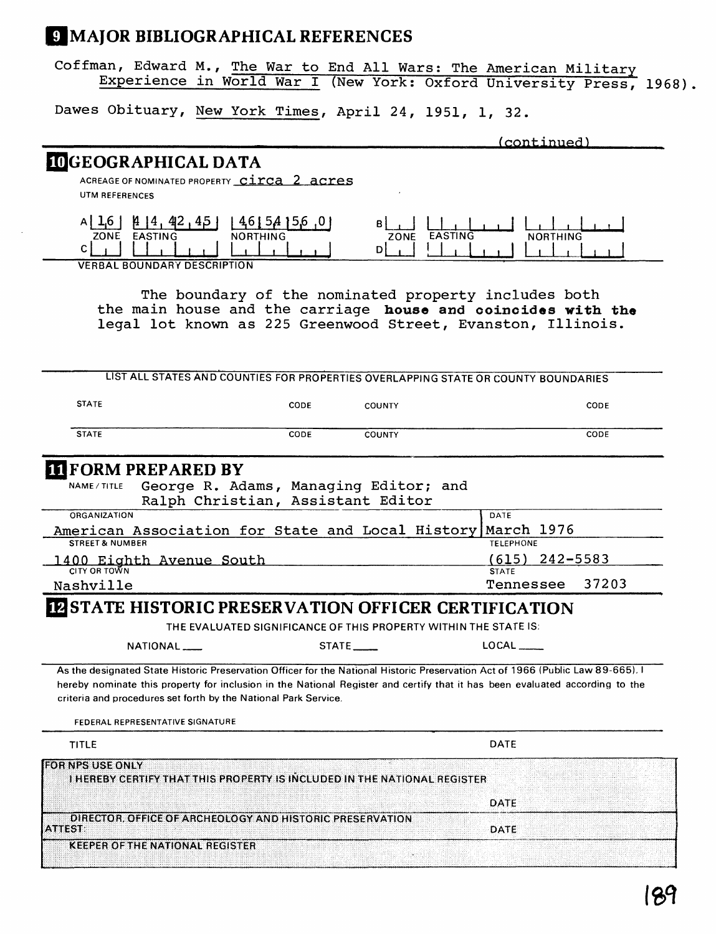## **MAJOR BIBLIOGRAPHICAL REFERENCES**

Coffman, Edward M., The War to End All Wars: The American Military Experience in World War I (New York: Oxford University Press, 1968).

(continued)

Dawes Obituary, New York Times, April 24, 1951, 1, 32.

# UGEOGRAPHICAL DATA

ACREAGE OF NOMINATED PROPERTY **CITCA 2 acres UTM REFERENCES**

|      | /11<br>44<br>90<br>≖⊷ |          |      |                |                         |
|------|-----------------------|----------|------|----------------|-------------------------|
| ZONE | <b>EASTING</b>        | NORTHING | ZONE | <b>EASTING</b> | THING<br>N <sub>C</sub> |
|      |                       |          | . .  |                |                         |

**VERBAL BOUNDARY DESCRIPTION**

The boundary of the nominated property includes both the main house and the carriage **house and coincides with the**  legal lot known as 225 Greenwood Street, Evanston, Illinois.

|                                                                                                                                                                                                                                                                                                                                                    |                                                                            |                      | LIST ALL STATES AND COUNTIES FOR PROPERTIES OVERLAPPING STATE OR COUNTY BOUNDARIES |       |
|----------------------------------------------------------------------------------------------------------------------------------------------------------------------------------------------------------------------------------------------------------------------------------------------------------------------------------------------------|----------------------------------------------------------------------------|----------------------|------------------------------------------------------------------------------------|-------|
| <b>STATE</b>                                                                                                                                                                                                                                                                                                                                       | CODE                                                                       | <b>COUNTY</b>        |                                                                                    | CODE  |
| <b>STATE</b>                                                                                                                                                                                                                                                                                                                                       | CODE                                                                       | <b>COUNTY</b>        |                                                                                    | CODE  |
| <b>III FORM PREPARED BY</b>                                                                                                                                                                                                                                                                                                                        |                                                                            |                      |                                                                                    |       |
| NAME / TITLE                                                                                                                                                                                                                                                                                                                                       | George R. Adams, Managing Editor; and<br>Ralph Christian, Assistant Editor |                      |                                                                                    |       |
| ORGANIZATION                                                                                                                                                                                                                                                                                                                                       |                                                                            |                      | DATE                                                                               |       |
| American Association for State and Local History March 1976<br><b>STREET &amp; NUMBER</b>                                                                                                                                                                                                                                                          |                                                                            |                      | <b>TELEPHONE</b>                                                                   |       |
|                                                                                                                                                                                                                                                                                                                                                    |                                                                            |                      | 242-5583<br>(615)                                                                  |       |
| 1400 Eighth Avenue South<br>CITY OR TOWN                                                                                                                                                                                                                                                                                                           |                                                                            |                      | <b>STATE</b>                                                                       |       |
| Nashville                                                                                                                                                                                                                                                                                                                                          |                                                                            |                      | Tennessee                                                                          | 37203 |
| NATIONAL ___<br>As the designated State Historic Preservation Officer for the National Historic Preservation Act of 1966 (Public Law 89-665). I<br>hereby nominate this property for inclusion in the National Register and certify that it has been evaluated according to the<br>criteria and procedures set forth by the National Park Service. | THE EVALUATED SIGNIFICANCE OF THIS PROPERTY WITHIN THE STATE IS:           | STATE <sub>___</sub> | $LOCAL$ <sub>_____</sub>                                                           |       |
|                                                                                                                                                                                                                                                                                                                                                    |                                                                            |                      |                                                                                    |       |
| FEDERAL REPRESENTATIVE SIGNATURE                                                                                                                                                                                                                                                                                                                   |                                                                            |                      |                                                                                    |       |
| <b>TITLE</b>                                                                                                                                                                                                                                                                                                                                       |                                                                            |                      | <b>DATE</b>                                                                        |       |
| <b>FOR NPS USE ONLY</b><br>I HEREBY CERTIFY THAT THIS PROPERTY IS INCLUDED IN THE NATIONAL REGISTER                                                                                                                                                                                                                                                |                                                                            |                      |                                                                                    |       |
|                                                                                                                                                                                                                                                                                                                                                    |                                                                            |                      | DATE                                                                               |       |
| DIRECTOR, OFFICE OF ARCHEOLOGY AND HISTORIC PRESERVATION<br>ATTEST:                                                                                                                                                                                                                                                                                |                                                                            |                      | <b>DATE</b>                                                                        |       |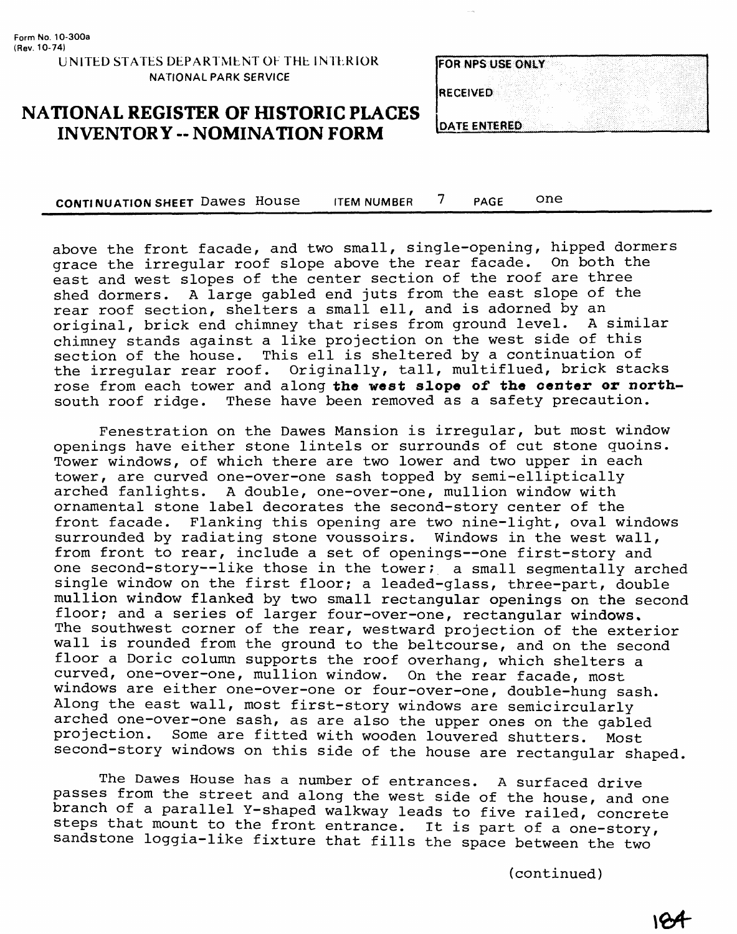#### **NATIONAL REGISTER OF HISTORIC PLACES INVENTORY -- NOMINATION FORM**

**CONTINUATION SHEET** Dawes House ITEM NUMBER 7 PAGE One

above the front facade, and two small, single-opening, hipped dormers grace the irregular roof slope above the rear facade. On both the east and west slopes of the center section of the roof are three shed dormers. A large gabled end juts from the east slope of the rear roof section, shelters a small ell, and is adorned by an<br>original, brick end chimney that rises from ground level. A similar original, brick end chimney that rises from ground level. chimney stands against a like projection on the west side of this section of the house. This ell is sheltered by a continuation of the irregular rear roof. Originally, tall, multiflued, brick stacks rose from each tower and along the west slope of the center or northsouth roof ridge. These have been removed as a safety precaution.

Fenestration on the Dawes Mansion is irregular, but most window openings have either stone lintels or surrounds of cut stone quoins. Tower windows, of which there are two lower and two upper in each tower, are curved one-over-one sash topped by semi-elliptically arched fanlights. A double, one-over-one, mullion window with ornamental stone label decorates the second-story center of the front facade. Flanking this opening are two nine-light, oval windows surrounded by radiating stone voussoirs. Windows in the west wall, from front to rear, include a set of openings—one first-story and one second-story--like those in the tower; a small segmentally arched single window on the first floor; a leaded-glass, three-part, double mullion window flanked by two small rectangular openings on the second floor; and a series of larger four-over-one, rectangular windows. The southwest corner of the rear, westward projection of the exterior wall is rounded from the ground to the beltcourse, and on the second floor a Doric column supports the roof overhang, which shelters a curved, one-over-one, mullion window. On the rear facade, most windows are either one-over-one or four-over-one, double-hung sash. Along the east wall, most first-story windows are semicircularly arched one-over-one sash, as are also the upper ones on the gabled projection. Some are fitted with wooden louvered shutters. Most second-story windows on this side of the house are rectangular shaped.

The Dawes House has a number of entrances. A surfaced drive passes from the street and along the west side of the house, and one branch of a parallel Y-shaped walkway leads to five railed, concrete steps that mount to the front entrance. It is part of a one-story, sandstone loggia-like fixture that fills the space between the two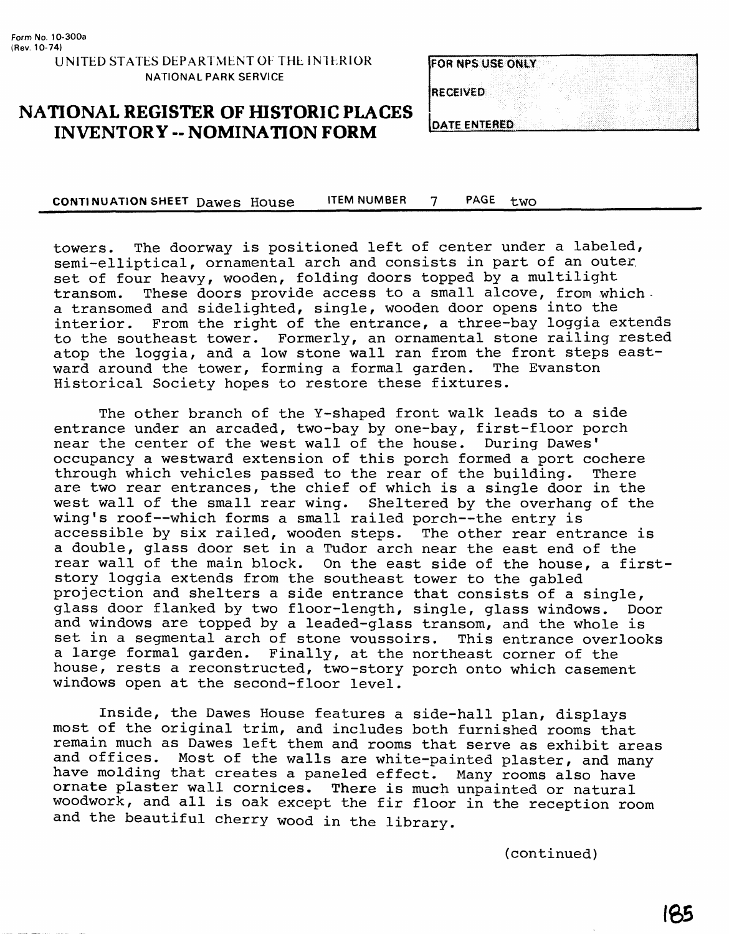| FOR NPS USE ONLY     |  |
|----------------------|--|
|                      |  |
| <b>RECEIVED</b>      |  |
|                      |  |
|                      |  |
| <b>IDATE ENTERED</b> |  |

#### **NATIONAL REGISTER OF HISTORIC PLACES INVENTORY -- NOMINATION FORM**

**CONTINUATION SHEET Dawes House ITEM NUMBER 7 PAGE two** 

towers. The doorway is positioned left of center under a labeled, semi-elliptical, ornamental arch and consists in part of an outer, set of four heavy, wooden, folding doors topped by a multilight transom. These doors provide access to a small alcove, from which. a transomed and sidelighted, single, wooden door opens into the interior. From the right of the entrance, a three-bay loggia extends to the southeast tower. Formerly, an ornamental stone railing rested atop the loggia, and a low stone wall ran from the front steps eastward around the tower, forming a formal garden. The Evanston Historical Society hopes to restore these fixtures.

The other branch of the Y-shaped front walk leads to a side entrance under an arcaded, two-bay by one-bay, first-floor porch near the center of the west wall of the house. During Dawes' occupancy a westward extension of this porch formed a port cochere<br>through which vehicles passed to the rear of the building. There through which vehicles passed to the rear of the building. are two rear entrances, the chief of which is a single door in the west wall of the small rear wing. Sheltered by the overhang of the wing's roof--which forms a small railed porch--the entry is accessible by six railed, wooden steps. The other rear entrance is a double, glass door set in a Tudor arch near the east end of the rear wall of the main block. On the east side of the house, a firststory loggia extends from the southeast tower to the gabled projection and shelters a side entrance that consists of a single, glass door flanked by two floor-length, single, glass windows. Door and windows are topped by a leaded-glass transom, and the whole is set in a segmental arch of stone voussoirs. This entrance overlooks a large formal garden. Finally, at the northeast corner of the house, rests a reconstructed, two-story porch onto which casement windows open at the second-floor level.

Inside, the Dawes House features a side-hall plan, displays most of the original trim, and includes both furnished rooms that remain much as Dawes left them and rooms that serve as exhibit areas and offices. Most of the walls are white-painted plaster, and many have molding that creates a paneled effect. Many rooms also have ornate plaster wall cornices. There is much unpainted or natural woodwork, and all is oak except the fir floor in the reception room and the beautiful cherry wood in the library.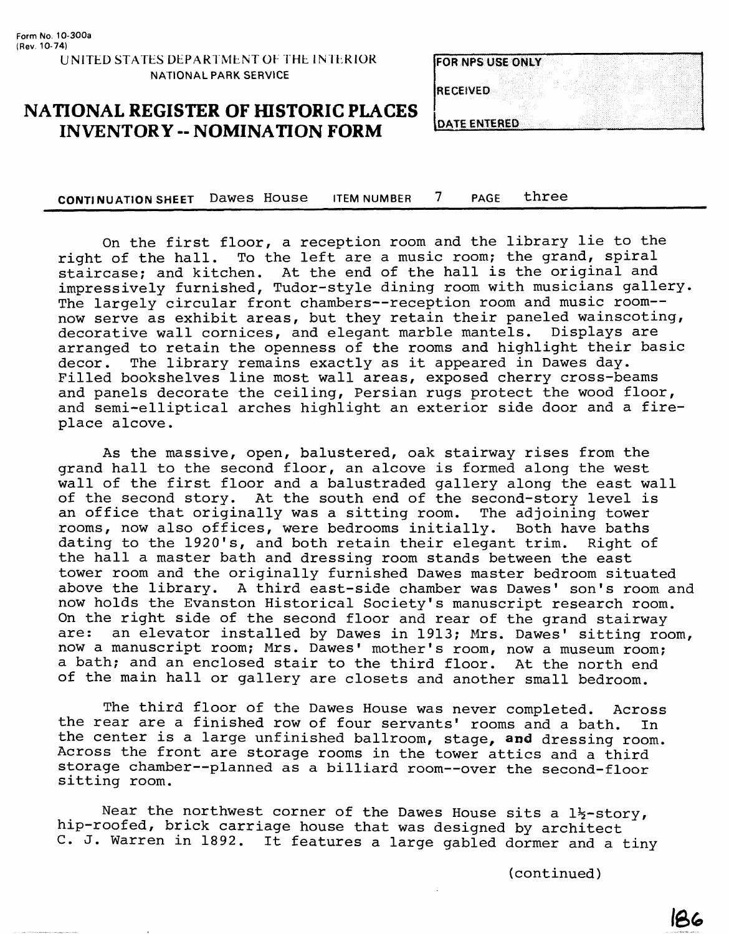|                     | <b>FOR NPS USE ONLY</b> |  |  |
|---------------------|-------------------------|--|--|
|                     |                         |  |  |
|                     |                         |  |  |
| <b>RECEIVED</b>     |                         |  |  |
|                     |                         |  |  |
|                     |                         |  |  |
|                     |                         |  |  |
| <b>DATE ENTERED</b> |                         |  |  |

#### **NATIONAL REGISTER OF HISTORIC PLACES INVENTORY -- NOMINATION FORM**

CONTINUATION SHEET Dawes House ITEM NUMBER 7 PAGE three

On the first floor, a reception room and the library lie to the right of the hall. To the left are a music room; the grand, spiral To the left are a music room; the grand, spiral staircase; and kitchen. At the end of the hall is the original and impressively furnished, Tudor-style dining room with musicians gallery. The largely circular front chambers--reception room and music room-now serve as exhibit areas, but they retain their paneled wainscoting, decorative wall cornices, and elegant marble mantels. Displays are arranged to retain the openness of the rooms and highlight their basic<br>decor. The library remains exactly as it appeared in Dawes day. The library remains exactly as it appeared in Dawes day. Filled bookshelves line most wall areas, exposed cherry cross-beams and panels decorate the ceiling, Persian rugs protect the wood floor, and semi-elliptical arches highlight an exterior side door and a fireplace alcove.

As the massive, open, balustered, oak stairway rises from the grand hall to the second floor, an alcove is formed along the west wall of the first floor and a balustraded gallery along the east wall of the second story. At the south end of the second-story level is an office that originally was a sitting room. The adjoining tower rooms, now also offices, were bedrooms initially. Both have baths dating to the 1920's, and both retain their elegant trim. Right of dating to the 1920's, and both retain their elegant trim. the hall a master bath and dressing room stands between the east tower room and the originally furnished Dawes master bedroom situated above the library. A third east-side chamber was Dawes' son's room and now holds the Evanston Historical Society's manuscript research room. On the right side of the second floor and rear of the grand stairway are: an elevator installed by Dawes in 1913; Mrs. Dawes' sitting room, now a manuscript room; Mrs. Dawes' mother's room, now a museum room; a bath; and an enclosed stair to the third floor. At the north end of the main hall or gallery are closets and another small bedroom.

The third floor of the Dawes House was never completed. Across the rear are a finished row of four servants' rooms and a bath. In the center is a large unfinished ballroom, stage, and dressing room. Across the front are storage rooms in the tower attics and a third storage chamber—planned as a billiard room—over the second-floor sitting room.

Near the northwest corner of the Dawes House sits a  $1\frac{1}{2}$ -story, hip-roofed, brick carriage house that was designed by architect C. J. Warren in 1892. It features a large gabled dormer and a tiny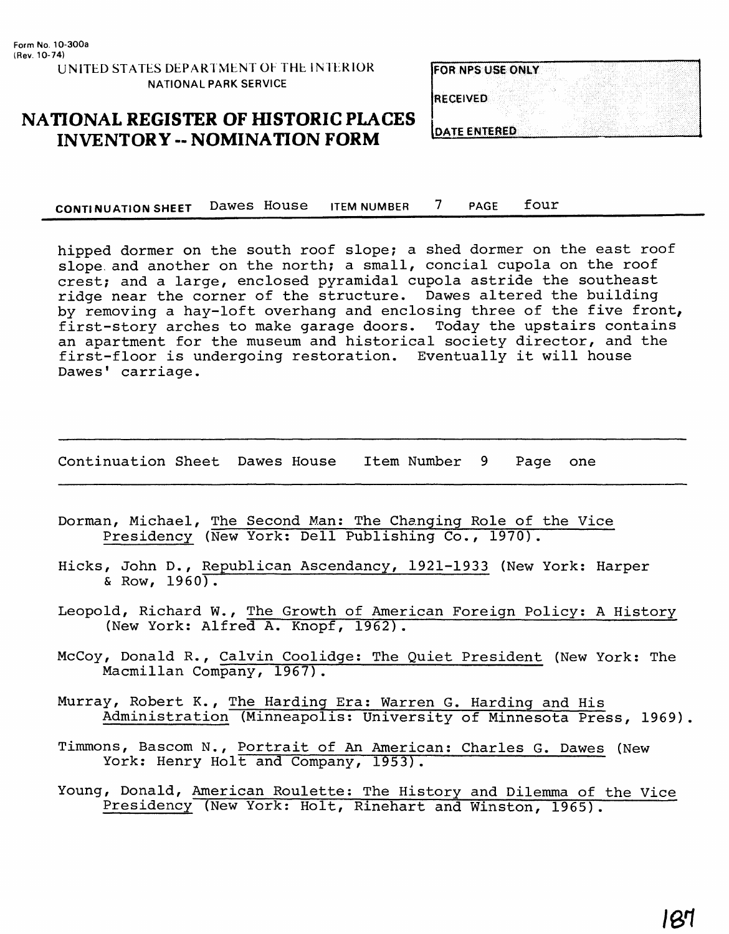**UNITED STATES DEPARTMENT OF THE INTERIOR NATIONAL PARK SERVICE**

| <b>FOR NPS USE ONLY</b> |  |
|-------------------------|--|
| <b>RECEIVED</b>         |  |
| <b>IDATE ENTERED</b>    |  |

#### **NATIONAL REGISTER OF HISTORIC PLACES INVENTORY -- NOMINATION FORM**

**CONTINUATION SHEET** DaWGS HOUSG ITEM NUMBER PAGE four

hipped dormer on the south roof slope; a shed dormer on the east roof slope and another on the north; a small, concial cupola on the roof crest; and a large, enclosed pyramidal cupola astride the southeast ridge near the corner of the structure. Dawes altered the building by removing a hay-loft overhang and enclosing three of the five front, first-story arches to make garage doors. Today the upstairs contains an apartment for the museum and historical society director, and the first-floor is undergoing restoration. Eventually it will house Dawes' carriage.

Continuation Sheet Dawes House Item Number 9 Page one

- Dorman, Michael, The Second Man: The Changing Role of the Vice Presidency (New York: Dell Publishing Co., 1970).
- Hicks, John D., Republican Ascendancy, 1921-1933 (New York: Harper  $\&$  Row, 1960).
- Leopold, Richard W., The Growth of American Foreign Policy: A History (New York: Alfred A. Knopf, 1962).
- McCoy, Donald R., Calvin Coolidge; The Quiet President (New York: The Macmillan Company, 1967).
- Murray, Robert K., The Harding Era; Warren G. Harding and His Administration (Minneapolis: University of Minnesota Press, 1969).
- Timmons, Bascom N., Portrait of An American: Charles G. Dawes (New York: Henry Holt and Company, 1953).
- Young, Donald, American Roulette: The History and Dilemma of the Vice Presidency (New York: Holt, Rinehart and Winston, 1965).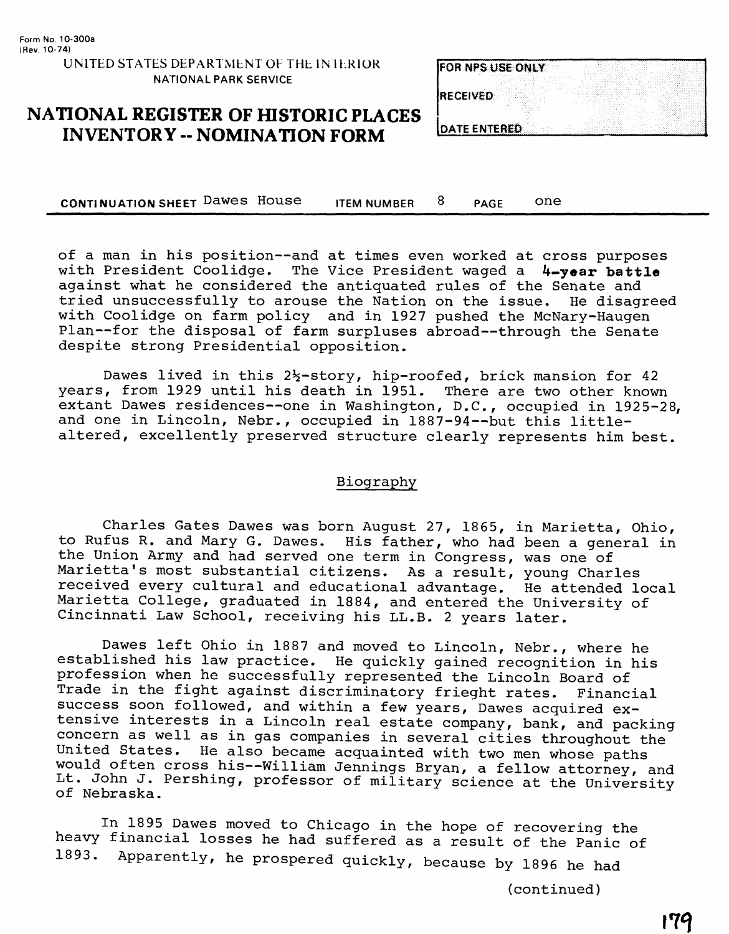| <b>FOR NPS USE ONLY</b> |  |
|-------------------------|--|
| <b>RECEIVED</b>         |  |
| <b>IDATE ENTERED</b>    |  |

### **NATIONAL REGISTER OF HISTORIC PLACES INVENTORY - NOMINATION FORM**

**CONTINUATION SHEET Dawes House** ITEM NUMBER 8 PAGE ONE

of a man in his position—and at times even worked at cross purposes with President Coolidge. The Vice President waged a **4-year battle**  against what he considered the antiquated rules of the Senate and tried unsuccessfully to arouse the Nation on the issue. He disagreed with Coolidge on farm policy and in 1927 pushed the McNary-Haugen Plan—for the disposal of farm surpluses abroad—through the Senate despite strong Presidential opposition.

Dawes lived in this  $2\frac{1}{2}$ -story, hip-roofed, brick mansion for 42 years, from 1929 until his death in 1951. There are two other known extant Dawes residences—one in Washington, D.C., occupied in 1925-28, and one in Lincoln, Nebr., occupied in 1887-94—but this littlealtered, excellently preserved structure clearly represents him best.

#### Biography

Charles Gates Dawes was born August 27, 1865, in Marietta, Ohio, to Rufus R. and Mary G. Dawes. His father, who had been a general in the Union Army and had served one term in Congress, was one of Marietta's most substantial citizens. As a result, young Charles received every cultural and educational advantage. He attended local Marietta College, graduated in 1884, and entered the University of Cincinnati Law School, receiving his LL.B. 2 years later.

Dawes left Ohio in 1887 and moved to Lincoln, Nebr., where he established his law practice. He quickly gained recognition in his profession when he successfully represented the Lincoln Board of Trade in the fight against discriminatory frieght rates. Financial success soon followed, and within a few years, Dawes acquired extensive interests in a Lincoln real estate company, bank, and packing concern as well as in gas companies in several cities throughout the<br>United States. He also became acquainted with two men whose paths He also became acquainted with two men whose paths would often cross his--William Jennings Bryan, a fellow attorney, and Lt. John J. Pershing, professor of military science at the University of Nebraska.

In 1895 Dawes moved to Chicago in the hope of recovering the heavy financial losses he had suffered as a result of the Panic of 1893. Apparently, he prospered quickly, because by 1896 he had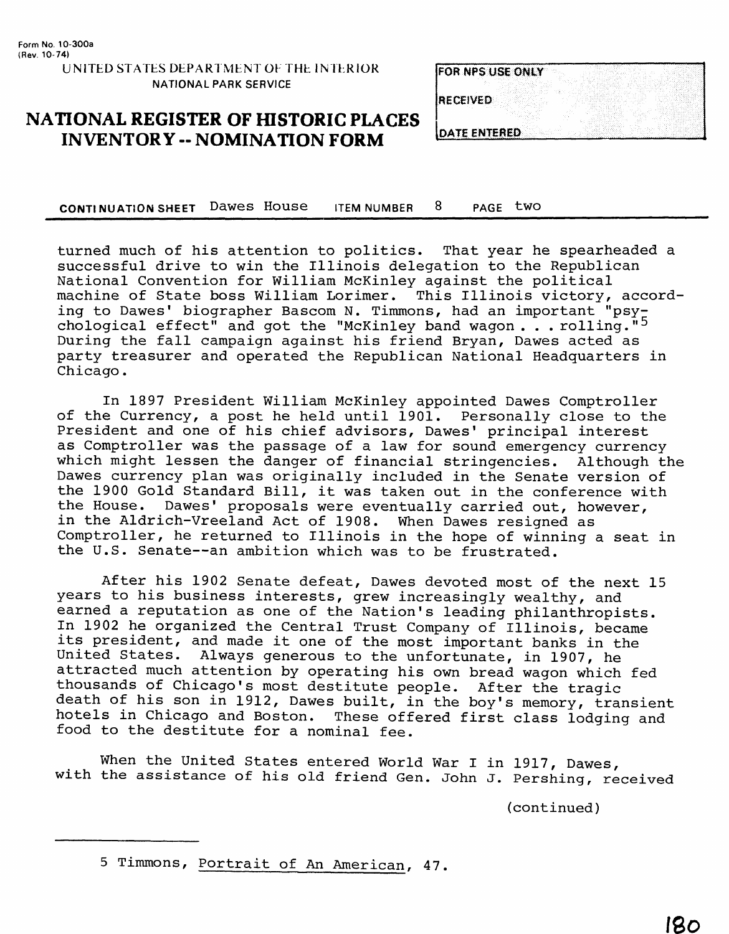**UNITED STATES DEPARTMENT OF THE INTERIOR NATIONAL PARK SERVICE**

| <b>FOR NPS USE ONLY</b> |  |  |  |  |
|-------------------------|--|--|--|--|
|                         |  |  |  |  |
| <b>RECEIVED</b>         |  |  |  |  |
|                         |  |  |  |  |
|                         |  |  |  |  |
| <b>DATE ENTERED</b>     |  |  |  |  |

## **NATIONAL REGISTER OF HISTORIC PLACES INVENTORY - NOMINATION FORM**

CONTINUATION SHEET Dawes House ITEM NUMBER 8 PAGE two

turned much of his attention to politics. That year he spearheaded a successful drive to win the Illinois delegation to the Republican National Convention for William McKinley against the political machine of State boss William Lorimer. This Illinois victory, according to Dawes' biographer Bascom N. Timmons, had an important "psychological effect" and got the "McKinley band wagon . . . rolling."<sup>5</sup> During the fall campaign against his friend Bryan, Dawes acted as party treasurer and operated the Republican National Headquarters in Chicago.

In 1897 President William McKinley appointed Dawes Comptroller of the Currency, a post he held until 1901. Personally close to the President and one of his chief advisors, Dawes' principal interest as Comptroller was the passage of a law for sound emergency currency which might lessen the danger of financial stringencies. Although the Dawes currency plan was originally included in the Senate version of the 1900 Gold Standard Bill, it was taken out in the conference with the House. Dawes' proposals were eventually carried out, however, in the Aldrich-Vreeland Act of 1908. When Dawes resigned as Comptroller, he returned to Illinois in the hope of winning a seat in the U.S. Senate--an ambition which was to be frustrated.

After his 1902 Senate defeat, Dawes devoted most of the next 15 years to his business interests, grew increasingly wealthy, and earned a reputation as one of the Nation's leading philanthropists. In 1902 he organized the Central Trust Company of Illinois, became its president, and made it one of the most important banks in the United States. Always generous to the unfortunate, in 1907, he attracted much attention by operating his own bread wagon which fed thousands of Chicago's most destitute people. After the tragic death of his son in 1912, Dawes built, in the boy's memory, transient hotels in Chicago and Boston. These offered first class lodging and food to the destitute for a nominal fee.

When the United States entered World War I in 1917, Dawes, with the assistance of his old friend Gen. John J. Pershing, received

<sup>5</sup> Timmons, Portrait of An American, 47.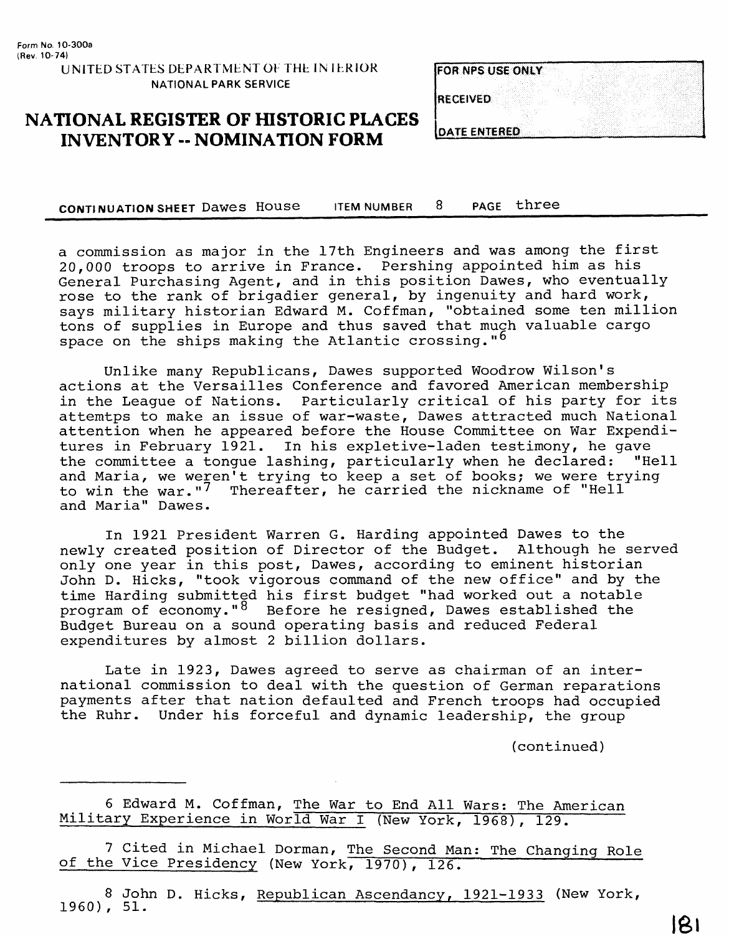**U N1TED STATES DEPARTMENT OF THE 1N 1ERIOR NATIONAL PARK SERVICE**

| <b>FOR NPS USE ONLY</b> |  |
|-------------------------|--|
|                         |  |
| <b>RECEIVED</b>         |  |
|                         |  |
| <b>OATE ENTERED</b>     |  |

#### **NATIONAL REGISTER OF HISTORIC PLACES INVENTORY -- NOMINATION FORM**

**CONTINUATION SHEET Dawes House ITEM NUMBER 8 PAGE three** 

a commission as major in the 17th Engineers and was among the first 20,000 troops to arrive in France. Pershing appointed him as his General Purchasing Agent, and in this position Dawes, who eventually rose to the rank of brigadier general, by ingenuity and hard work, says military historian Edward M. Coffman, "obtained some ten million tons of supplies in Europe and thus saved that much valuable cargo space on the ships making the Atlantic crossing. " $6$ 

Unlike many Republicans, Dawes supported Woodrow Wilson's actions at the Versailles Conference and favored American membership in the League of Nations. Particularly critical of his party for its attemtps to make an issue of war-waste, Dawes attracted much National attention when he appeared before the House Committee on War Expenditures in February 1921. In his expletive-laden testimony, he gave the committee a tongue lashing, particularly when he declared: "Hell and Maria, we weren't trying to keep a set of books; we were trying to win the war."<sup>7</sup> Thereafter, he carried the nickname of "Hell and Maria" Dawes.

In 1921 President Warren G. Harding appointed Dawes to the newly created position of Director of the Budget. Although he served only one year in this post, Dawes, according to eminent historian John D. Hicks, "took vigorous command of the new office" and by the time Harding submitted his first budget "had worked out a notable program of economy." $8$  Before he resigned, Dawes established the Budget Bureau on a sound operating basis and reduced Federal expenditures by almost 2 billion dollars.

Late in 1923, Dawes agreed to serve as chairman of an international commission to deal with the question of German reparations payments after that nation defaulted and French troops had occupied the Ruhr. Under his forceful and dynamic leadership, the group

(continued)

6 Edward M. Coffman, The War to End All Wars: The American Military Experience in World War I (New York, 1968), 129.

7 Cited in Michael Dorman, The Second Man: The Changing Role of the Vice Presidency (New York, 1970), 126.

8 John D. Hicks, Republican Ascendancy, 1921-1933 (New York, 1960), 51.